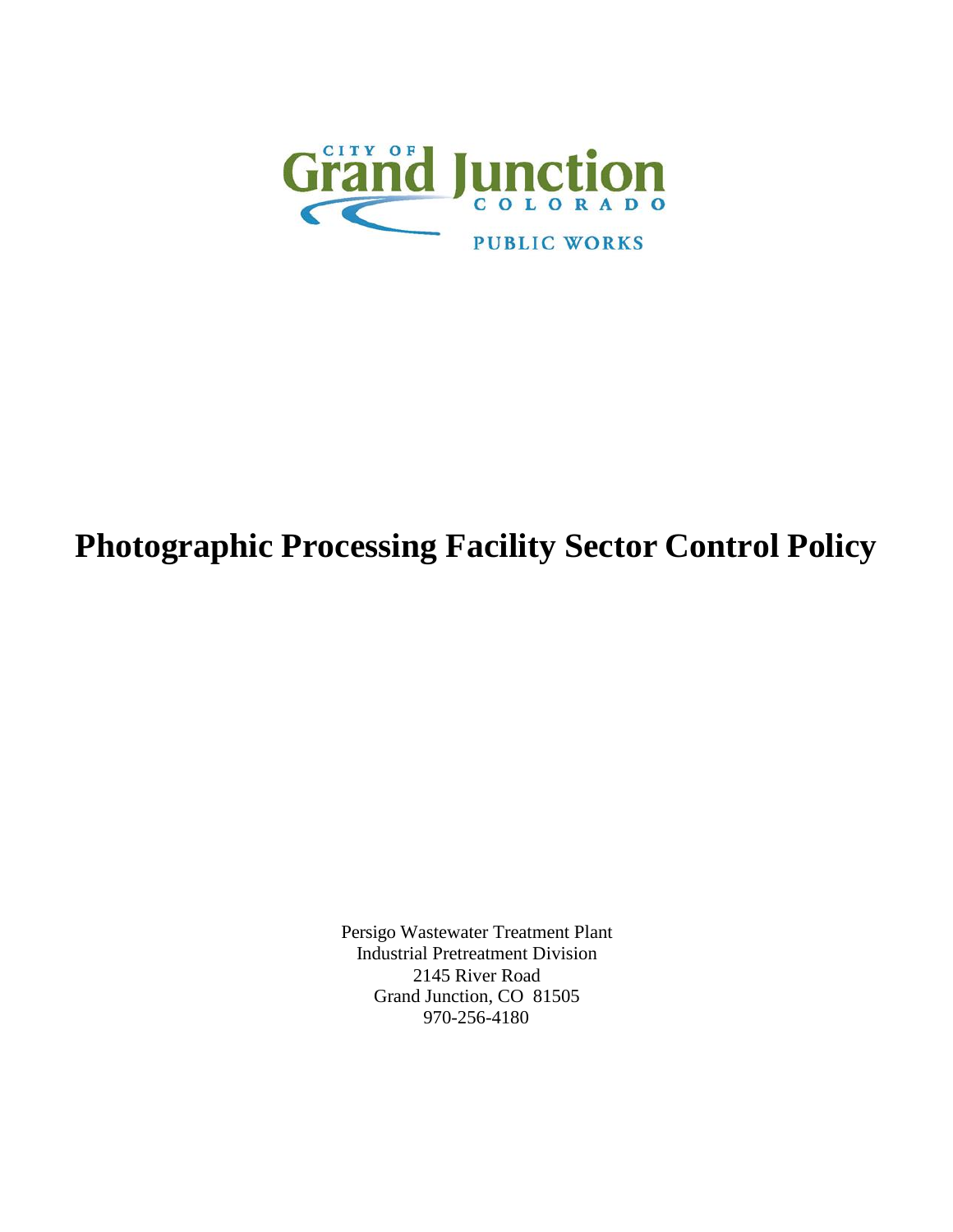

# **Photographic Processing Facility Sector Control Policy**

Persigo Wastewater Treatment Plant Industrial Pretreatment Division 2145 River Road Grand Junction, CO 81505 970-256-4180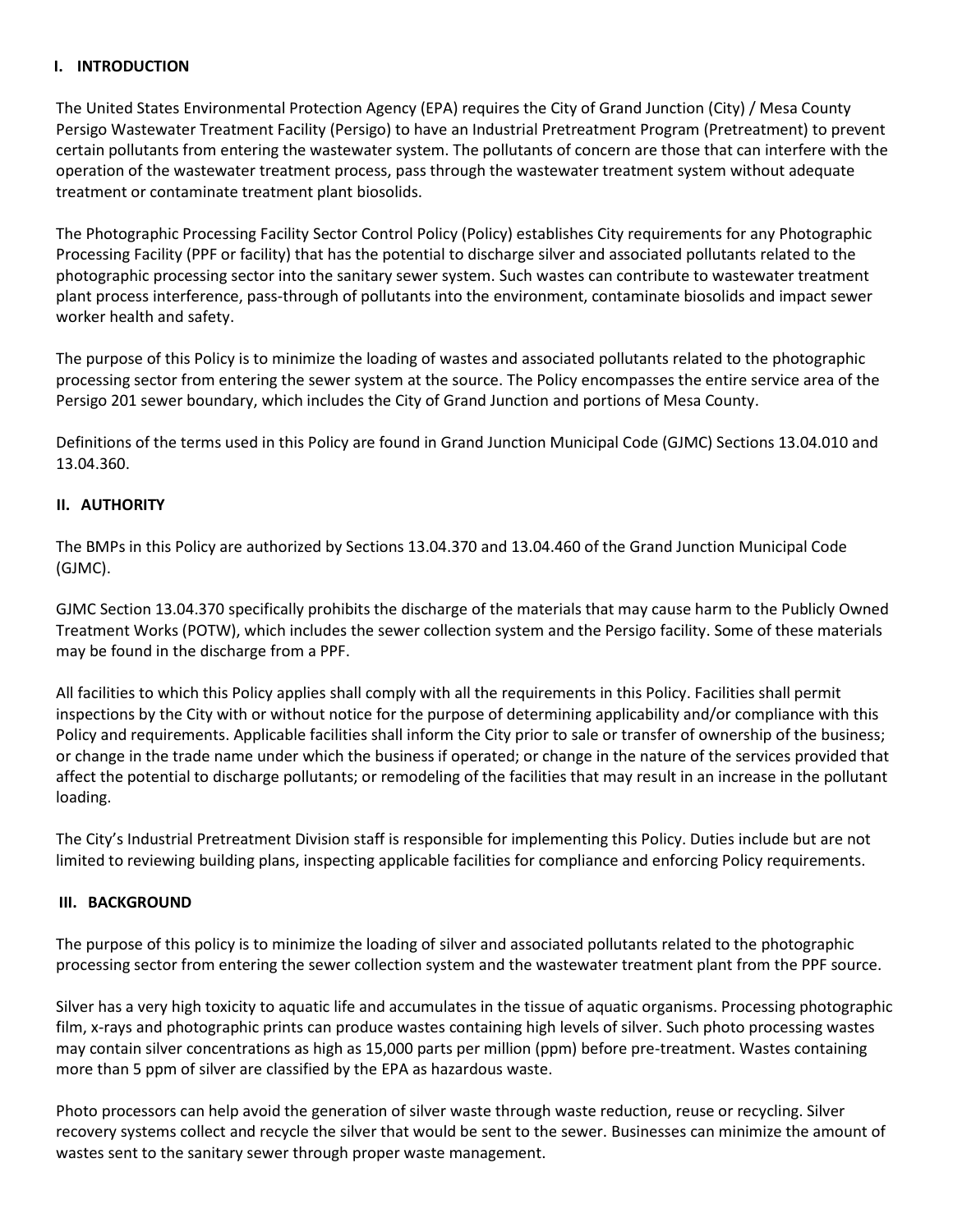#### **I. INTRODUCTION**

The United States Environmental Protection Agency (EPA) requires the City of Grand Junction (City) / Mesa County Persigo Wastewater Treatment Facility (Persigo) to have an Industrial Pretreatment Program (Pretreatment) to prevent certain pollutants from entering the wastewater system. The pollutants of concern are those that can interfere with the operation of the wastewater treatment process, pass through the wastewater treatment system without adequate treatment or contaminate treatment plant biosolids.

The Photographic Processing Facility Sector Control Policy (Policy) establishes City requirements for any Photographic Processing Facility (PPF or facility) that has the potential to discharge silver and associated pollutants related to the photographic processing sector into the sanitary sewer system. Such wastes can contribute to wastewater treatment plant process interference, pass-through of pollutants into the environment, contaminate biosolids and impact sewer worker health and safety.

The purpose of this Policy is to minimize the loading of wastes and associated pollutants related to the photographic processing sector from entering the sewer system at the source. The Policy encompasses the entire service area of the Persigo 201 sewer boundary, which includes the City of Grand Junction and portions of Mesa County.

Definitions of the terms used in this Policy are found in Grand Junction Municipal Code (GJMC) Sections 13.04.010 and 13.04.360.

#### **II. AUTHORITY**

The BMPs in this Policy are authorized by Sections 13.04.370 and 13.04.460 of the Grand Junction Municipal Code (GJMC).

GJMC Section 13.04.370 specifically prohibits the discharge of the materials that may cause harm to the Publicly Owned Treatment Works (POTW), which includes the sewer collection system and the Persigo facility. Some of these materials may be found in the discharge from a PPF.

All facilities to which this Policy applies shall comply with all the requirements in this Policy. Facilities shall permit inspections by the City with or without notice for the purpose of determining applicability and/or compliance with this Policy and requirements. Applicable facilities shall inform the City prior to sale or transfer of ownership of the business; or change in the trade name under which the business if operated; or change in the nature of the services provided that affect the potential to discharge pollutants; or remodeling of the facilities that may result in an increase in the pollutant loading.

The City's Industrial Pretreatment Division staff is responsible for implementing this Policy. Duties include but are not limited to reviewing building plans, inspecting applicable facilities for compliance and enforcing Policy requirements.

#### **III. BACKGROUND**

The purpose of this policy is to minimize the loading of silver and associated pollutants related to the photographic processing sector from entering the sewer collection system and the wastewater treatment plant from the PPF source.

Silver has a very high toxicity to aquatic life and accumulates in the tissue of aquatic organisms. Processing photographic film, x-rays and photographic prints can produce wastes containing high levels of silver. Such photo processing wastes may contain silver concentrations as high as 15,000 parts per million (ppm) before pre-treatment. Wastes containing more than 5 ppm of silver are classified by the EPA as hazardous waste.

Photo processors can help avoid the generation of silver waste through waste reduction, reuse or recycling. Silver recovery systems collect and recycle the silver that would be sent to the sewer. Businesses can minimize the amount of wastes sent to the sanitary sewer through proper waste management.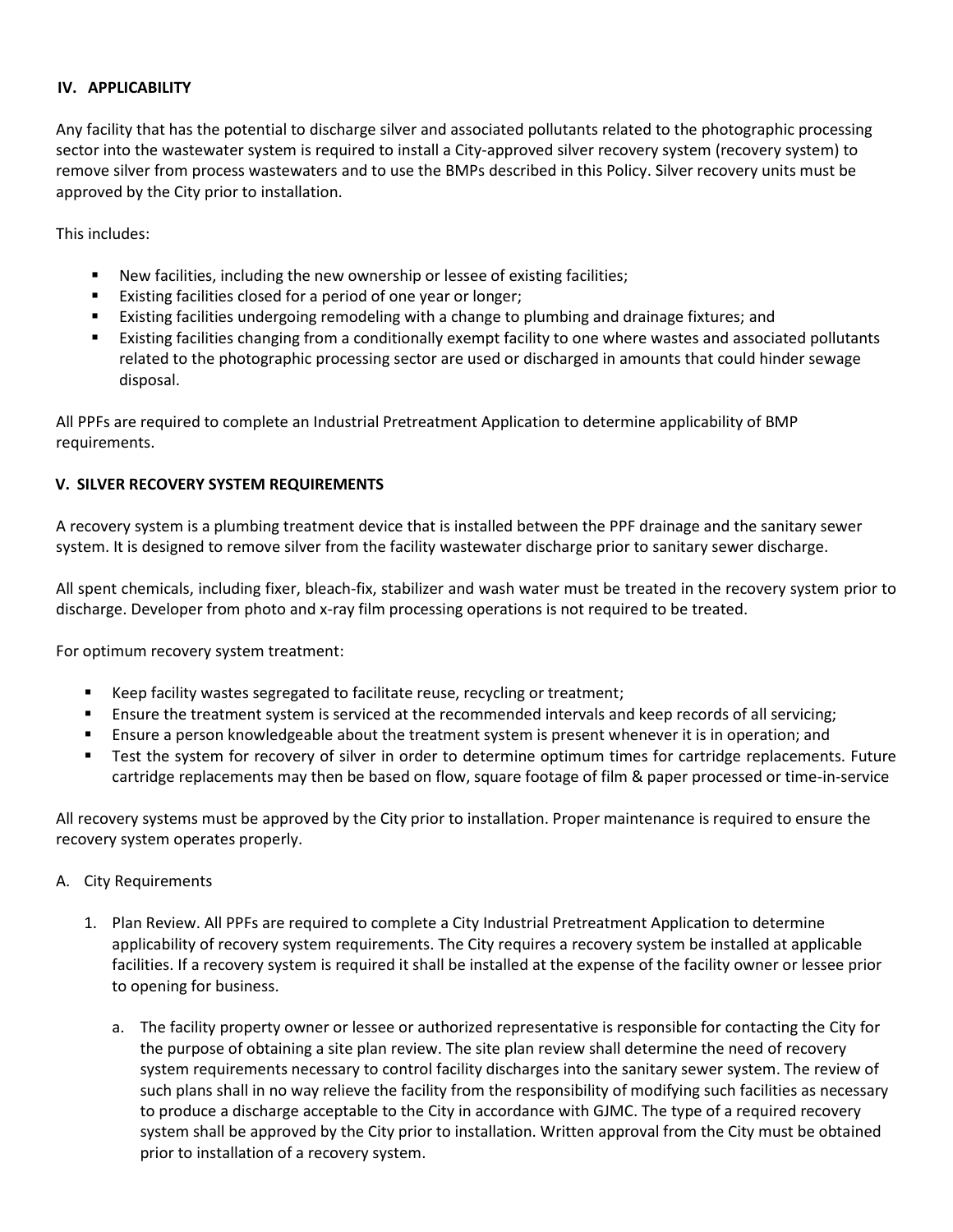### **IV. APPLICABILITY**

Any facility that has the potential to discharge silver and associated pollutants related to the photographic processing sector into the wastewater system is required to install a City-approved silver recovery system (recovery system) to remove silver from process wastewaters and to use the BMPs described in this Policy. Silver recovery units must be approved by the City prior to installation.

This includes:

- New facilities, including the new ownership or lessee of existing facilities;
- Existing facilities closed for a period of one year or longer;
- Existing facilities undergoing remodeling with a change to plumbing and drainage fixtures; and
- Existing facilities changing from a conditionally exempt facility to one where wastes and associated pollutants related to the photographic processing sector are used or discharged in amounts that could hinder sewage disposal.

All PPFs are required to complete an Industrial Pretreatment Application to determine applicability of BMP requirements.

# **V. SILVER RECOVERY SYSTEM REQUIREMENTS**

A recovery system is a plumbing treatment device that is installed between the PPF drainage and the sanitary sewer system. It is designed to remove silver from the facility wastewater discharge prior to sanitary sewer discharge.

All spent chemicals, including fixer, bleach-fix, stabilizer and wash water must be treated in the recovery system prior to discharge. Developer from photo and x-ray film processing operations is not required to be treated.

For optimum recovery system treatment:

- Keep facility wastes segregated to facilitate reuse, recycling or treatment;
- **E** Ensure the treatment system is serviced at the recommended intervals and keep records of all servicing;
- Ensure a person knowledgeable about the treatment system is present whenever it is in operation; and
- Test the system for recovery of silver in order to determine optimum times for cartridge replacements. Future cartridge replacements may then be based on flow, square footage of film & paper processed or time-in-service

All recovery systems must be approved by the City prior to installation. Proper maintenance is required to ensure the recovery system operates properly.

- A. City Requirements
	- 1. Plan Review. All PPFs are required to complete a City Industrial Pretreatment Application to determine applicability of recovery system requirements. The City requires a recovery system be installed at applicable facilities. If a recovery system is required it shall be installed at the expense of the facility owner or lessee prior to opening for business.
		- a. The facility property owner or lessee or authorized representative is responsible for contacting the City for the purpose of obtaining a site plan review. The site plan review shall determine the need of recovery system requirements necessary to control facility discharges into the sanitary sewer system. The review of such plans shall in no way relieve the facility from the responsibility of modifying such facilities as necessary to produce a discharge acceptable to the City in accordance with GJMC. The type of a required recovery system shall be approved by the City prior to installation. Written approval from the City must be obtained prior to installation of a recovery system.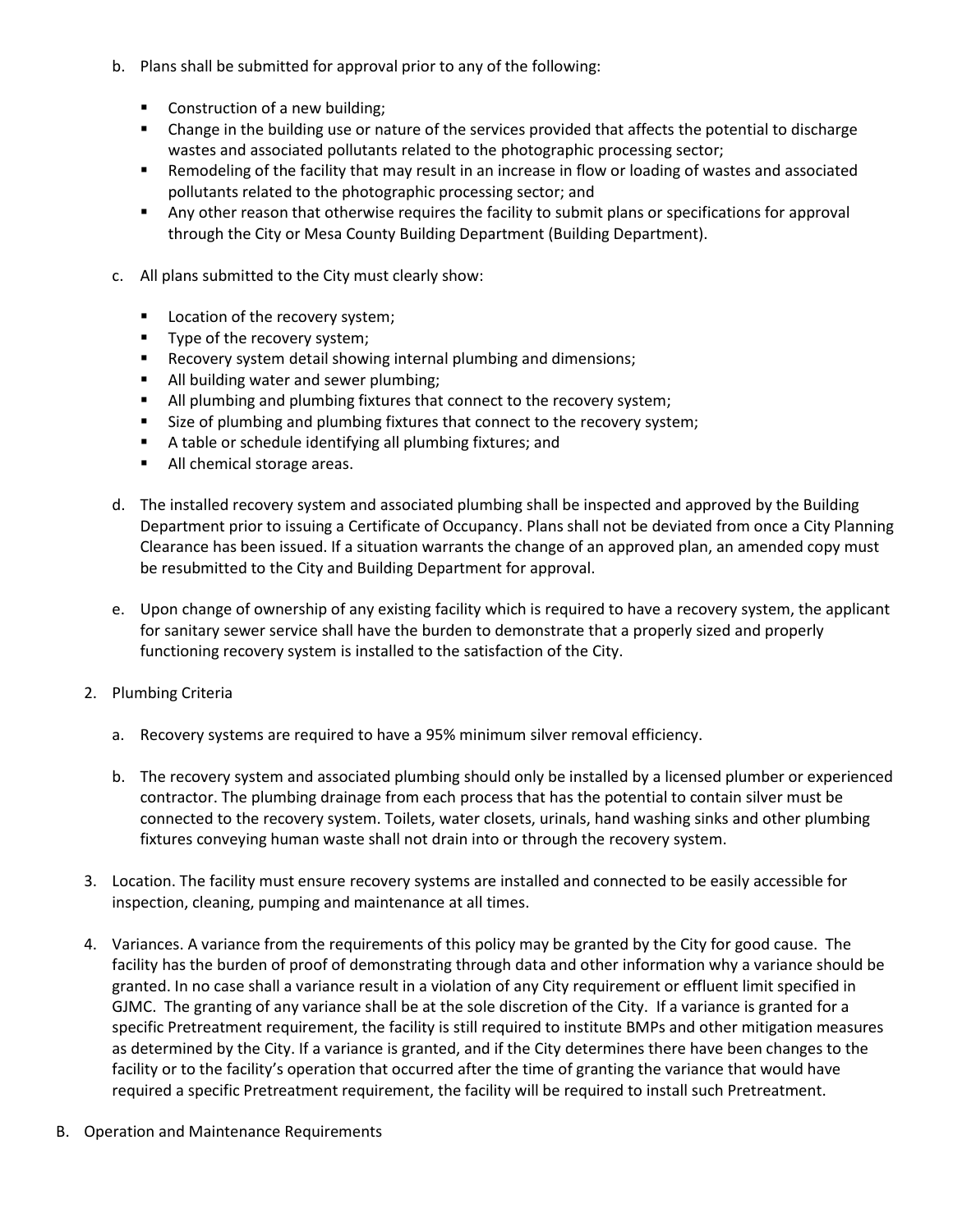- b. Plans shall be submitted for approval prior to any of the following:
	- **Construction of a new building;**
	- Change in the building use or nature of the services provided that affects the potential to discharge wastes and associated pollutants related to the photographic processing sector;
	- Remodeling of the facility that may result in an increase in flow or loading of wastes and associated pollutants related to the photographic processing sector; and
	- Any other reason that otherwise requires the facility to submit plans or specifications for approval through the City or Mesa County Building Department (Building Department).
- c. All plans submitted to the City must clearly show:
	- **Location of the recovery system;**
	- **Type of the recovery system;**
	- **Recovery system detail showing internal plumbing and dimensions;**
	- **All building water and sewer plumbing;**
	- **All plumbing and plumbing fixtures that connect to the recovery system;**
	- **Size of plumbing and plumbing fixtures that connect to the recovery system;**
	- A table or schedule identifying all plumbing fixtures; and
	- All chemical storage areas.
- d. The installed recovery system and associated plumbing shall be inspected and approved by the Building Department prior to issuing a Certificate of Occupancy. Plans shall not be deviated from once a City Planning Clearance has been issued. If a situation warrants the change of an approved plan, an amended copy must be resubmitted to the City and Building Department for approval.
- e. Upon change of ownership of any existing facility which is required to have a recovery system, the applicant for sanitary sewer service shall have the burden to demonstrate that a properly sized and properly functioning recovery system is installed to the satisfaction of the City.
- 2. Plumbing Criteria
	- a. Recovery systems are required to have a 95% minimum silver removal efficiency.
	- b. The recovery system and associated plumbing should only be installed by a licensed plumber or experienced contractor. The plumbing drainage from each process that has the potential to contain silver must be connected to the recovery system. Toilets, water closets, urinals, hand washing sinks and other plumbing fixtures conveying human waste shall not drain into or through the recovery system.
- 3. Location. The facility must ensure recovery systems are installed and connected to be easily accessible for inspection, cleaning, pumping and maintenance at all times.
- 4. Variances. A variance from the requirements of this policy may be granted by the City for good cause. The facility has the burden of proof of demonstrating through data and other information why a variance should be granted. In no case shall a variance result in a violation of any City requirement or effluent limit specified in GJMC. The granting of any variance shall be at the sole discretion of the City. If a variance is granted for a specific Pretreatment requirement, the facility is still required to institute BMPs and other mitigation measures as determined by the City. If a variance is granted, and if the City determines there have been changes to the facility or to the facility's operation that occurred after the time of granting the variance that would have required a specific Pretreatment requirement, the facility will be required to install such Pretreatment.
- B. Operation and Maintenance Requirements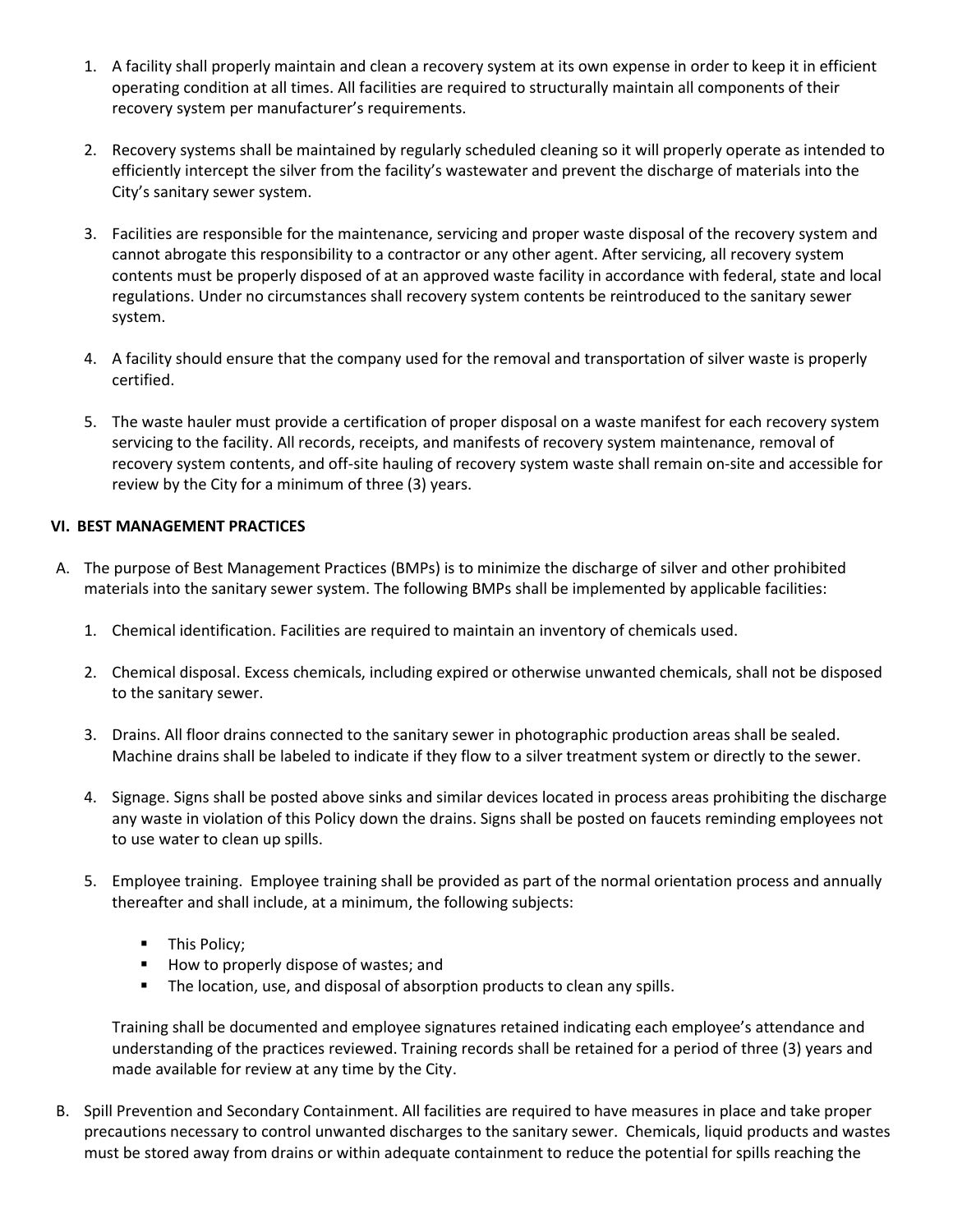- 1. A facility shall properly maintain and clean a recovery system at its own expense in order to keep it in efficient operating condition at all times. All facilities are required to structurally maintain all components of their recovery system per manufacturer's requirements.
- 2. Recovery systems shall be maintained by regularly scheduled cleaning so it will properly operate as intended to efficiently intercept the silver from the facility's wastewater and prevent the discharge of materials into the City's sanitary sewer system.
- 3. Facilities are responsible for the maintenance, servicing and proper waste disposal of the recovery system and cannot abrogate this responsibility to a contractor or any other agent. After servicing, all recovery system contents must be properly disposed of at an approved waste facility in accordance with federal, state and local regulations. Under no circumstances shall recovery system contents be reintroduced to the sanitary sewer system.
- 4. A facility should ensure that the company used for the removal and transportation of silver waste is properly certified.
- 5. The waste hauler must provide a certification of proper disposal on a waste manifest for each recovery system servicing to the facility. All records, receipts, and manifests of recovery system maintenance, removal of recovery system contents, and off-site hauling of recovery system waste shall remain on-site and accessible for review by the City for a minimum of three (3) years.

# **VI. BEST MANAGEMENT PRACTICES**

- A. The purpose of Best Management Practices (BMPs) is to minimize the discharge of silver and other prohibited materials into the sanitary sewer system. The following BMPs shall be implemented by applicable facilities:
	- 1. Chemical identification. Facilities are required to maintain an inventory of chemicals used.
	- 2. Chemical disposal. Excess chemicals, including expired or otherwise unwanted chemicals, shall not be disposed to the sanitary sewer.
	- 3. Drains. All floor drains connected to the sanitary sewer in photographic production areas shall be sealed. Machine drains shall be labeled to indicate if they flow to a silver treatment system or directly to the sewer.
	- 4. Signage. Signs shall be posted above sinks and similar devices located in process areas prohibiting the discharge any waste in violation of this Policy down the drains. Signs shall be posted on faucets reminding employees not to use water to clean up spills.
	- 5. Employee training. Employee training shall be provided as part of the normal orientation process and annually thereafter and shall include, at a minimum, the following subjects:
		- **This Policy;**
		- How to properly dispose of wastes; and
		- The location, use, and disposal of absorption products to clean any spills.

Training shall be documented and employee signatures retained indicating each employee's attendance and understanding of the practices reviewed. Training records shall be retained for a period of three (3) years and made available for review at any time by the City.

B. Spill Prevention and Secondary Containment. All facilities are required to have measures in place and take proper precautions necessary to control unwanted discharges to the sanitary sewer. Chemicals, liquid products and wastes must be stored away from drains or within adequate containment to reduce the potential for spills reaching the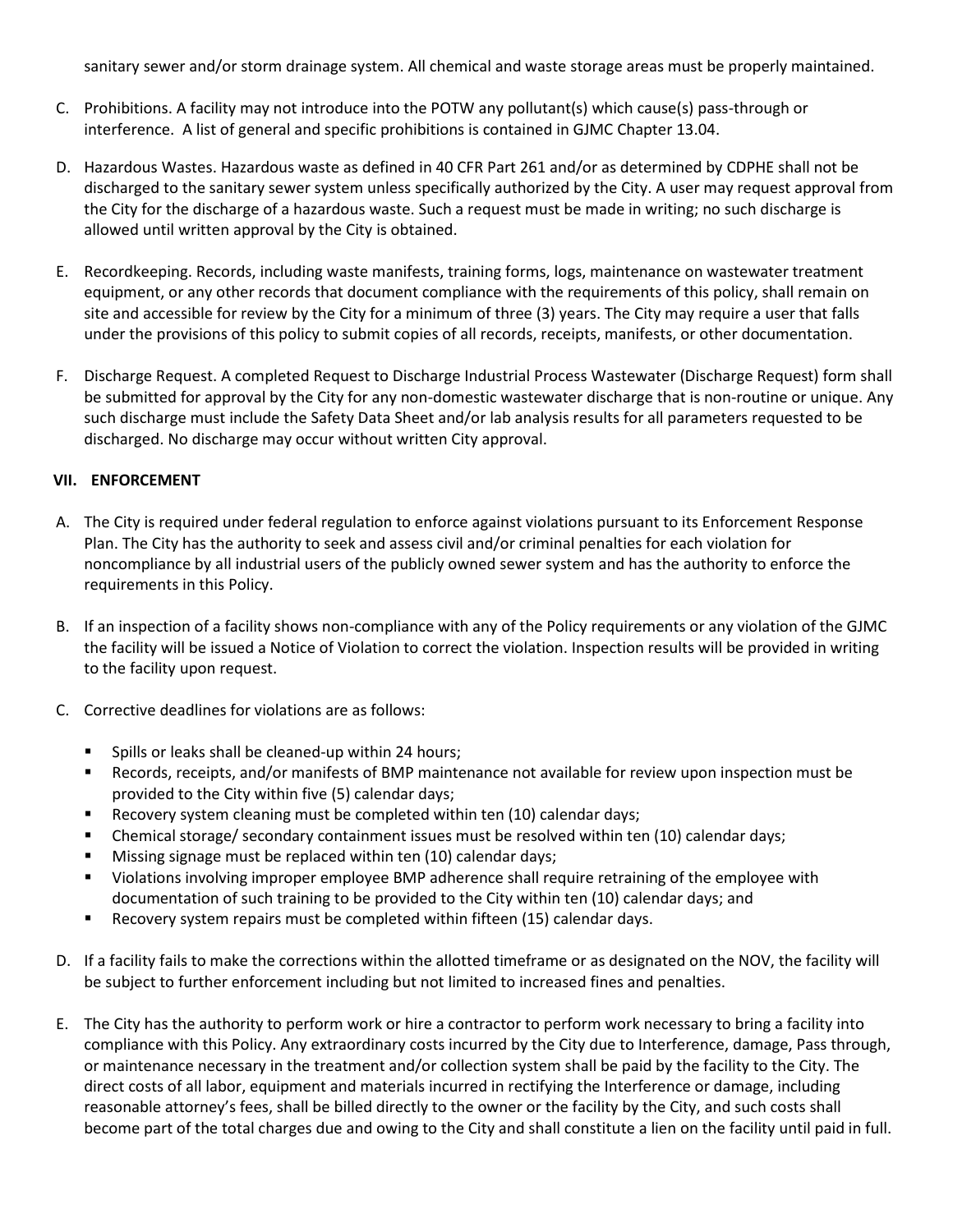sanitary sewer and/or storm drainage system. All chemical and waste storage areas must be properly maintained.

- C. Prohibitions. A facility may not introduce into the POTW any pollutant(s) which cause(s) pass-through or interference. A list of general and specific prohibitions is contained in GJMC Chapter 13.04.
- D. Hazardous Wastes. Hazardous waste as defined in 40 CFR Part 261 and/or as determined by CDPHE shall not be discharged to the sanitary sewer system unless specifically authorized by the City. A user may request approval from the City for the discharge of a hazardous waste. Such a request must be made in writing; no such discharge is allowed until written approval by the City is obtained.
- E. Recordkeeping. Records, including waste manifests, training forms, logs, maintenance on wastewater treatment equipment, or any other records that document compliance with the requirements of this policy, shall remain on site and accessible for review by the City for a minimum of three (3) years. The City may require a user that falls under the provisions of this policy to submit copies of all records, receipts, manifests, or other documentation.
- F. Discharge Request. A completed Request to Discharge Industrial Process Wastewater (Discharge Request) form shall be submitted for approval by the City for any non-domestic wastewater discharge that is non-routine or unique. Any such discharge must include the Safety Data Sheet and/or lab analysis results for all parameters requested to be discharged. No discharge may occur without written City approval.

#### **VII. ENFORCEMENT**

- A. The City is required under federal regulation to enforce against violations pursuant to its Enforcement Response Plan. The City has the authority to seek and assess civil and/or criminal penalties for each violation for noncompliance by all industrial users of the publicly owned sewer system and has the authority to enforce the requirements in this Policy.
- B. If an inspection of a facility shows non-compliance with any of the Policy requirements or any violation of the GJMC the facility will be issued a Notice of Violation to correct the violation. Inspection results will be provided in writing to the facility upon request.
- C. Corrective deadlines for violations are as follows:
	- **Spills or leaks shall be cleaned-up within 24 hours;**
	- Records, receipts, and/or manifests of BMP maintenance not available for review upon inspection must be provided to the City within five (5) calendar days;
	- Recovery system cleaning must be completed within ten (10) calendar days;
	- Chemical storage/ secondary containment issues must be resolved within ten (10) calendar days;
	- Missing signage must be replaced within ten (10) calendar days;
	- Violations involving improper employee BMP adherence shall require retraining of the employee with documentation of such training to be provided to the City within ten (10) calendar days; and
	- Recovery system repairs must be completed within fifteen (15) calendar days.
- D. If a facility fails to make the corrections within the allotted timeframe or as designated on the NOV, the facility will be subject to further enforcement including but not limited to increased fines and penalties.
- E. The City has the authority to perform work or hire a contractor to perform work necessary to bring a facility into compliance with this Policy. Any extraordinary costs incurred by the City due to Interference, damage, Pass through, or maintenance necessary in the treatment and/or collection system shall be paid by the facility to the City. The direct costs of all labor, equipment and materials incurred in rectifying the Interference or damage, including reasonable attorney's fees, shall be billed directly to the owner or the facility by the City, and such costs shall become part of the total charges due and owing to the City and shall constitute a lien on the facility until paid in full.